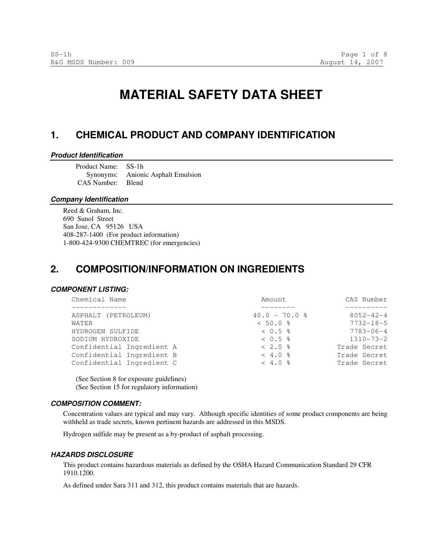# **MATERIAL SAFETY DATA SHEET**

# **1. CHEMICAL PRODUCT AND COMPANY IDENTIFICATION**

#### **Product Identification**

Product Name: SS-1h Synonyms: Anionic Asphalt Emulsion CAS Number: Blend

### **Company Identification**

Reed & Graham, Inc. 690 Sunol Street San Jose, CA 95126 USA 408-287-1400 (For product information) 1-800-424-9300 CHEMTREC (for emergencies)

# **2. COMPOSITION/INFORMATION ON INGREDIENTS**

### **COMPONENT LISTING:**

| Amount            | CAS Number      |
|-------------------|-----------------|
|                   |                 |
| $40.0 - 70.0$ %   | $8052 - 42 - 4$ |
| $< 50.0$ %        | $7732 - 18 - 5$ |
| $< 0.5$ $\approx$ | $7783 - 06 - 4$ |
| $< 0.5$ $\approx$ | $1310 - 73 - 2$ |
| $< 2.0$ %         | Trade Secret    |
| $< 4.0$ %         | Trade Secret    |
| $< 4.0$ %         | Trade Secret    |
|                   |                 |

(See Section 8 for exposure guidelines) (See Section 15 for regulatory information)

#### **COMPOSITION COMMENT:**

Concentration values are typical and may vary. Although specific identities of some product components are being withheld as trade secrets, known pertinent hazards are addressed in this MSDS.

Hydrogen sulfide may be present as a by-product of asphalt processing.

#### **HAZARDS DISCLOSURE**

This product contains hazardous materials as defined by the OSHA Hazard Communication Standard 29 CFR 1910.1200.

As defined under Sara 311 and 312, this product contains materials that are hazards.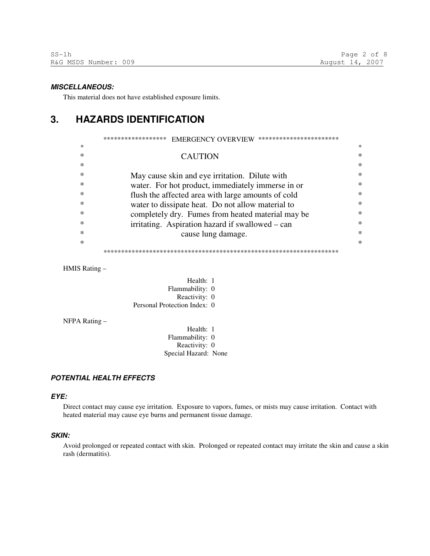#### **MISCELLANEOUS:**

This material does not have established exposure limits.

# **3. HAZARDS IDENTIFICATION**

|        | **********************<br>******************<br><b>EMERGENCY OVERVIEW</b> |        |
|--------|---------------------------------------------------------------------------|--------|
| *      |                                                                           | $\ast$ |
| $\ast$ | <b>CAUTION</b>                                                            | ∗      |
| $\ast$ |                                                                           | ∗      |
| *      | May cause skin and eye irritation. Dilute with                            | ∗      |
| $\ast$ | water. For hot product, immediately immerse in or                         | ∗      |
| $\ast$ | flush the affected area with large amounts of cold                        | ∗      |
| $\ast$ | water to dissipate heat. Do not allow material to                         | ∗      |
| ∗      | completely dry. Fumes from heated material may be                         | ∗      |
| *      | irritating. Aspiration hazard if swallowed – can                          | ∗      |
| *      | cause lung damage.                                                        | $\ast$ |
| *      |                                                                           | $\ast$ |
|        |                                                                           |        |

HMIS Rating –

| Health: 1                    |  |
|------------------------------|--|
| Flammability: 0              |  |
| Reactivity: 0                |  |
| Personal Protection Index: 0 |  |

NFPA Rating –

Health: 1 Flammability: 0 Reactivity: 0 Special Hazard: None

### **POTENTIAL HEALTH EFFECTS**

#### **EYE:**

Direct contact may cause eye irritation. Exposure to vapors, fumes, or mists may cause irritation. Contact with heated material may cause eye burns and permanent tissue damage.

#### **SKIN:**

Avoid prolonged or repeated contact with skin. Prolonged or repeated contact may irritate the skin and cause a skin rash (dermatitis).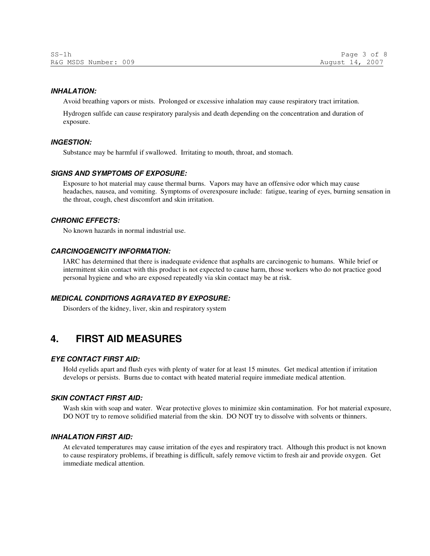#### **INHALATION:**

Avoid breathing vapors or mists. Prolonged or excessive inhalation may cause respiratory tract irritation.

Hydrogen sulfide can cause respiratory paralysis and death depending on the concentration and duration of exposure.

#### **INGESTION:**

Substance may be harmful if swallowed. Irritating to mouth, throat, and stomach.

### **SIGNS AND SYMPTOMS OF EXPOSURE:**

Exposure to hot material may cause thermal burns. Vapors may have an offensive odor which may cause headaches, nausea, and vomiting. Symptoms of overexposure include: fatigue, tearing of eyes, burning sensation in the throat, cough, chest discomfort and skin irritation.

#### **CHRONIC EFFECTS:**

No known hazards in normal industrial use.

### **CARCINOGENICITY INFORMATION:**

IARC has determined that there is inadequate evidence that asphalts are carcinogenic to humans. While brief or intermittent skin contact with this product is not expected to cause harm, those workers who do not practice good personal hygiene and who are exposed repeatedly via skin contact may be at risk.

### **MEDICAL CONDITIONS AGRAVATED BY EXPOSURE:**

Disorders of the kidney, liver, skin and respiratory system

# **4. FIRST AID MEASURES**

### **EYE CONTACT FIRST AID:**

Hold eyelids apart and flush eyes with plenty of water for at least 15 minutes. Get medical attention if irritation develops or persists. Burns due to contact with heated material require immediate medical attention.

### **SKIN CONTACT FIRST AID:**

Wash skin with soap and water. Wear protective gloves to minimize skin contamination. For hot material exposure, DO NOT try to remove solidified material from the skin. DO NOT try to dissolve with solvents or thinners.

#### **INHALATION FIRST AID:**

At elevated temperatures may cause irritation of the eyes and respiratory tract. Although this product is not known to cause respiratory problems, if breathing is difficult, safely remove victim to fresh air and provide oxygen. Get immediate medical attention.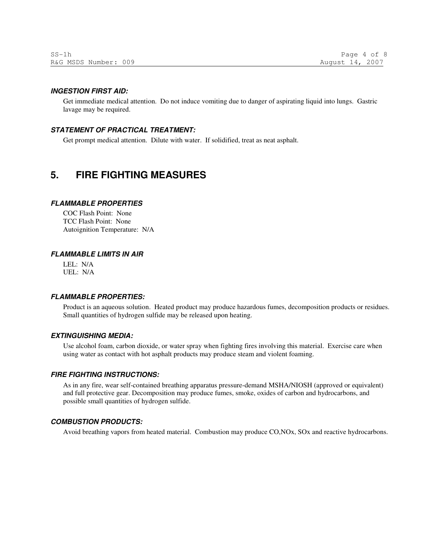#### **INGESTION FIRST AID:**

Get immediate medical attention. Do not induce vomiting due to danger of aspirating liquid into lungs. Gastric lavage may be required.

#### **STATEMENT OF PRACTICAL TREATMENT:**

Get prompt medical attention. Dilute with water. If solidified, treat as neat asphalt.

# **5. FIRE FIGHTING MEASURES**

#### **FLAMMABLE PROPERTIES**

COC Flash Point: None TCC Flash Point: None Autoignition Temperature: N/A

#### **FLAMMABLE LIMITS IN AIR**

LEL: N/A UEL: N/A

### **FLAMMABLE PROPERTIES:**

Product is an aqueous solution. Heated product may produce hazardous fumes, decomposition products or residues. Small quantities of hydrogen sulfide may be released upon heating.

### **EXTINGUISHING MEDIA:**

Use alcohol foam, carbon dioxide, or water spray when fighting fires involving this material. Exercise care when using water as contact with hot asphalt products may produce steam and violent foaming.

#### **FIRE FIGHTING INSTRUCTIONS:**

As in any fire, wear self-contained breathing apparatus pressure-demand MSHA/NIOSH (approved or equivalent) and full protective gear. Decomposition may produce fumes, smoke, oxides of carbon and hydrocarbons, and possible small quantities of hydrogen sulfide.

### **COMBUSTION PRODUCTS:**

Avoid breathing vapors from heated material. Combustion may produce CO,NOx, SOx and reactive hydrocarbons.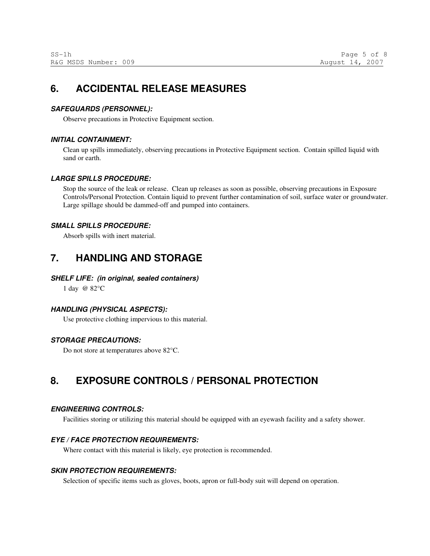# **6. ACCIDENTAL RELEASE MEASURES**

### **SAFEGUARDS (PERSONNEL):**

Observe precautions in Protective Equipment section.

### **INITIAL CONTAINMENT:**

Clean up spills immediately, observing precautions in Protective Equipment section. Contain spilled liquid with sand or earth.

### **LARGE SPILLS PROCEDURE:**

Stop the source of the leak or release. Clean up releases as soon as possible, observing precautions in Exposure Controls/Personal Protection. Contain liquid to prevent further contamination of soil, surface water or groundwater. Large spillage should be dammed-off and pumped into containers.

# **SMALL SPILLS PROCEDURE:**

Absorb spills with inert material.

# **7. HANDLING AND STORAGE**

### **SHELF LIFE: (in original, sealed containers)**

1 day @ 82°C

# **HANDLING (PHYSICAL ASPECTS):**

Use protective clothing impervious to this material.

# **STORAGE PRECAUTIONS:**

Do not store at temperatures above 82°C.

# **8. EXPOSURE CONTROLS / PERSONAL PROTECTION**

### **ENGINEERING CONTROLS:**

Facilities storing or utilizing this material should be equipped with an eyewash facility and a safety shower.

### **EYE / FACE PROTECTION REQUIREMENTS:**

Where contact with this material is likely, eye protection is recommended.

### **SKIN PROTECTION REQUIREMENTS:**

Selection of specific items such as gloves, boots, apron or full-body suit will depend on operation.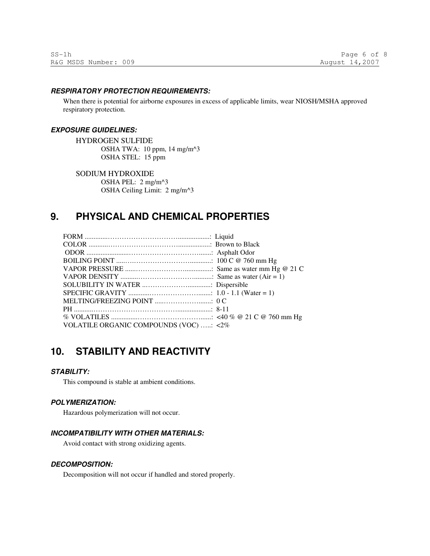#### **RESPIRATORY PROTECTION REQUIREMENTS:**

When there is potential for airborne exposures in excess of applicable limits, wear NIOSH/MSHA approved respiratory protection.

#### **EXPOSURE GUIDELINES:**

HYDROGEN SULFIDE OSHA TWA: 10 ppm, 14 mg/m^3 OSHA STEL: 15 ppm

SODIUM HYDROXIDE

OSHA PEL: 2 mg/m^3 OSHA Ceiling Limit: 2 mg/m^3

# **9. PHYSICAL AND CHEMICAL PROPERTIES**

| VOLATILE ORGANIC COMPOUNDS (VOC) : <2% |  |
|----------------------------------------|--|

# **10. STABILITY AND REACTIVITY**

#### **STABILITY:**

This compound is stable at ambient conditions.

### **POLYMERIZATION:**

Hazardous polymerization will not occur.

# **INCOMPATIBILITY WITH OTHER MATERIALS:**

Avoid contact with strong oxidizing agents.

#### **DECOMPOSITION:**

Decomposition will not occur if handled and stored properly.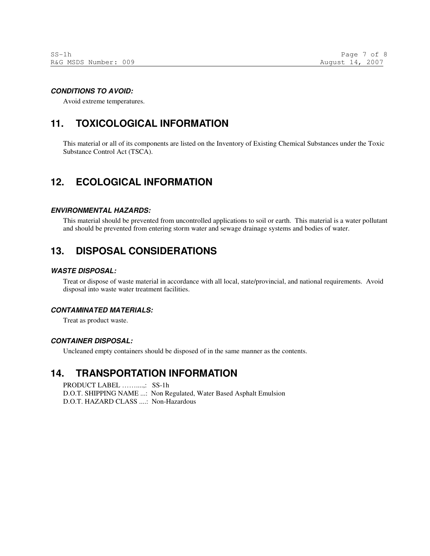### **CONDITIONS TO AVOID:**

Avoid extreme temperatures.

# **11. TOXICOLOGICAL INFORMATION**

This material or all of its components are listed on the Inventory of Existing Chemical Substances under the Toxic Substance Control Act (TSCA).

# **12. ECOLOGICAL INFORMATION**

#### **ENVIRONMENTAL HAZARDS:**

This material should be prevented from uncontrolled applications to soil or earth. This material is a water pollutant and should be prevented from entering storm water and sewage drainage systems and bodies of water.

# **13. DISPOSAL CONSIDERATIONS**

### **WASTE DISPOSAL:**

Treat or dispose of waste material in accordance with all local, state/provincial, and national requirements. Avoid disposal into waste water treatment facilities.

### **CONTAMINATED MATERIALS:**

Treat as product waste.

#### **CONTAINER DISPOSAL:**

Uncleaned empty containers should be disposed of in the same manner as the contents.

# **14. TRANSPORTATION INFORMATION**

PRODUCT LABEL ……....,: SS-1h D.O.T. SHIPPING NAME ...: Non Regulated, Water Based Asphalt Emulsion D.O.T. HAZARD CLASS ....: Non-Hazardous